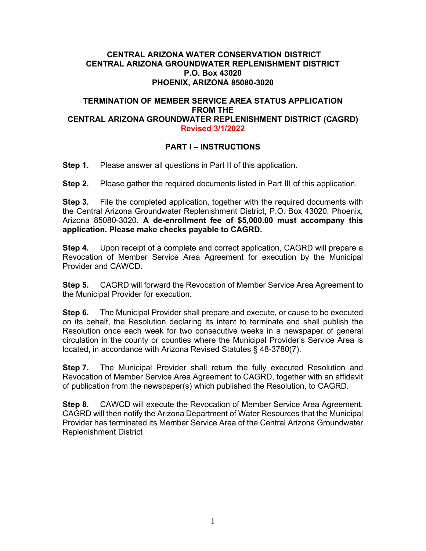#### **CENTRAL ARIZONA WATER CONSERVATION DISTRICT CENTRAL ARIZONA GROUNDWATER REPLENISHMENT DISTRICT P.O. Box 43020 PHOENIX, ARIZONA 85080-3020**

#### **TERMINATION OF MEMBER SERVICE AREA STATUS APPLICATION FROM THE CENTRAL ARIZONA GROUNDWATER REPLENISHMENT DISTRICT (CAGRD) Revised 3/1/2022**

#### **PART I – INSTRUCTIONS**

**Step 1.** Please answer all questions in Part II of this application.

**Step 2.** Please gather the required documents listed in Part III of this application.

**Step 3.** File the completed application, together with the required documents with the Central Arizona Groundwater Replenishment District, P.O. Box 43020, Phoenix, Arizona 85080-3020. **A de-enrollment fee of \$5,000.00 must accompany this application. Please make checks payable to CAGRD.**

**Step 4.** Upon receipt of a complete and correct application, CAGRD will prepare a Revocation of Member Service Area Agreement for execution by the Municipal Provider and CAWCD.

**Step 5.** CAGRD will forward the Revocation of Member Service Area Agreement to the Municipal Provider for execution.

**Step 6.** The Municipal Provider shall prepare and execute, or cause to be executed on its behalf, the Resolution declaring its intent to terminate and shall publish the Resolution once each week for two consecutive weeks in a newspaper of general circulation in the county or counties where the Municipal Provider's Service Area is located, in accordance with Arizona Revised Statutes § 48-3780(7).

**Step 7.** The Municipal Provider shall return the fully executed Resolution and Revocation of Member Service Area Agreement to CAGRD, together with an affidavit of publication from the newspaper(s) which published the Resolution, to CAGRD.

**Step 8.** CAWCD will execute the Revocation of Member Service Area Agreement. CAGRD will then notify the Arizona Department of Water Resources that the Municipal Provider has terminated its Member Service Area of the Central Arizona Groundwater Replenishment District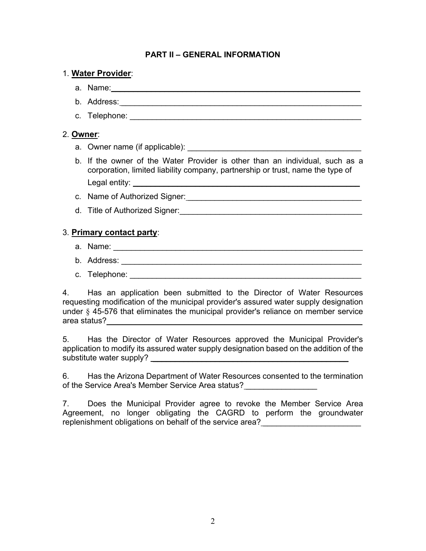# **PART II – GENERAL INFORMATION**

# 1. **Water Provider**:

- a. Name: <u>with the set of the set of the set of the set of the set of the set of the set of the set of the set of the set of the set of the set of the set of the set of the set of the set of the set of the set of the set o</u>
- b. Address: \_\_\_\_\_\_\_\_\_\_\_\_\_\_\_\_\_\_\_\_\_\_\_\_\_\_\_\_\_\_\_\_\_\_\_\_\_\_\_\_\_\_\_\_\_\_\_\_\_\_\_\_\_\_
- c. Telephone:  $\blacksquare$

# 2. **Owner**:

- a. Owner name (if applicable): \_\_\_\_\_\_\_\_\_\_\_\_\_\_\_\_\_\_\_\_\_\_\_\_\_\_\_\_\_\_\_\_\_\_\_\_\_\_\_
- b. If the owner of the Water Provider is other than an individual, such as a corporation, limited liability company, partnership or trust, name the type of Legal entity:
- c. Name of Authorized Signer: \_\_\_\_\_\_\_\_\_\_\_\_\_\_\_\_\_\_\_\_\_\_\_\_\_\_\_\_\_\_\_\_\_\_\_\_\_\_\_
- d. Title of Authorized Signer:  $\Box$

# 3. **Primary contact party**:

- a. Name:
- b. Address:
- c. Telephone:  $\blacksquare$

4. Has an application been submitted to the Director of Water Resources requesting modification of the municipal provider's assured water supply designation under § 45-576 that eliminates the municipal provider's reliance on member service area status? eta alternatura eta alternatura eta alternatura eta alternatura eta alternatura eta alternatura e

5. Has the Director of Water Resources approved the Municipal Provider's application to modify its assured water supply designation based on the addition of the substitute water supply?

6. Has the Arizona Department of Water Resources consented to the termination of the Service Area's Member Service Area status?

7. Does the Municipal Provider agree to revoke the Member Service Area Agreement, no longer obligating the CAGRD to perform the groundwater replenishment obligations on behalf of the service area?